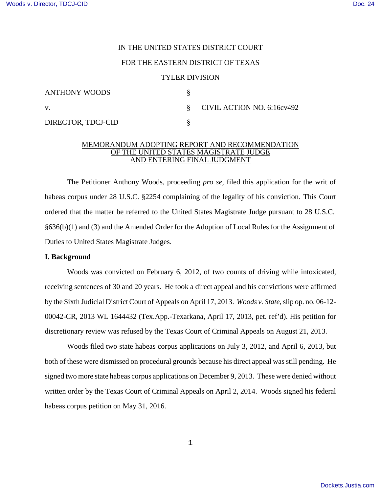### IN THE UNITED STATES DISTRICT COURT

### FOR THE EASTERN DISTRICT OF TEXAS

#### TYLER DIVISION

| ANTHONY WOODS      |                              |
|--------------------|------------------------------|
| V.                 | § CIVIL ACTION NO. 6:16cv492 |
| DIRECTOR, TDCJ-CID |                              |

### MEMORANDUM ADOPTING REPORT AND RECOMMENDATION OF THE UNITED STATES MAGISTRATE JUDGE AND ENTERING FINAL JUDGMENT

The Petitioner Anthony Woods, proceeding *pro se*, filed this application for the writ of habeas corpus under 28 U.S.C. §2254 complaining of the legality of his conviction. This Court ordered that the matter be referred to the United States Magistrate Judge pursuant to 28 U.S.C. §636(b)(1) and (3) and the Amended Order for the Adoption of Local Rules for the Assignment of Duties to United States Magistrate Judges.

### **I. Background**

Woods was convicted on February 6, 2012, of two counts of driving while intoxicated, receiving sentences of 30 and 20 years. He took a direct appeal and his convictions were affirmed by the Sixth Judicial District Court of Appeals on April 17, 2013. *Woods v. State*,slip op. no. 06-12- 00042-CR, 2013 WL 1644432 (Tex.App.-Texarkana, April 17, 2013, pet. ref'd). His petition for discretionary review was refused by the Texas Court of Criminal Appeals on August 21, 2013.

Woods filed two state habeas corpus applications on July 3, 2012, and April 6, 2013, but both of these were dismissed on procedural grounds because his direct appeal was still pending. He signed two more state habeas corpus applications on December 9, 2013. These were denied without written order by the Texas Court of Criminal Appeals on April 2, 2014. Woods signed his federal habeas corpus petition on May 31, 2016.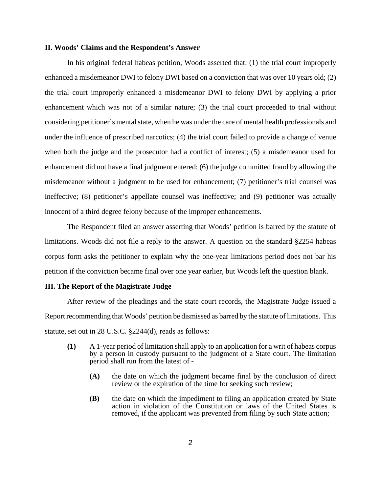## **II. Woods' Claims and the Respondent's Answer**

In his original federal habeas petition, Woods asserted that: (1) the trial court improperly enhanced a misdemeanor DWI to felony DWI based on a conviction that was over 10 years old; (2) the trial court improperly enhanced a misdemeanor DWI to felony DWI by applying a prior enhancement which was not of a similar nature; (3) the trial court proceeded to trial without considering petitioner's mental state, when he was under the care of mental health professionals and under the influence of prescribed narcotics; (4) the trial court failed to provide a change of venue when both the judge and the prosecutor had a conflict of interest; (5) a misdemeanor used for enhancement did not have a final judgment entered; (6) the judge committed fraud by allowing the misdemeanor without a judgment to be used for enhancement; (7) petitioner's trial counsel was ineffective; (8) petitioner's appellate counsel was ineffective; and (9) petitioner was actually innocent of a third degree felony because of the improper enhancements.

The Respondent filed an answer asserting that Woods' petition is barred by the statute of limitations. Woods did not file a reply to the answer. A question on the standard §2254 habeas corpus form asks the petitioner to explain why the one-year limitations period does not bar his petition if the conviction became final over one year earlier, but Woods left the question blank.

## **III. The Report of the Magistrate Judge**

After review of the pleadings and the state court records, the Magistrate Judge issued a Report recommending that Woods' petition be dismissed as barred by the statute of limitations. This statute, set out in 28 U.S.C. §2244(d), reads as follows:

- **(1)** A 1-year period of limitation shall apply to an application for a writ of habeas corpus by a person in custody pursuant to the judgment of a State court. The limitation period shall run from the latest of -
	- **(A)** the date on which the judgment became final by the conclusion of direct review or the expiration of the time for seeking such review;
	- **(B)** the date on which the impediment to filing an application created by State action in violation of the Constitution or laws of the United States is removed, if the applicant was prevented from filing by such State action;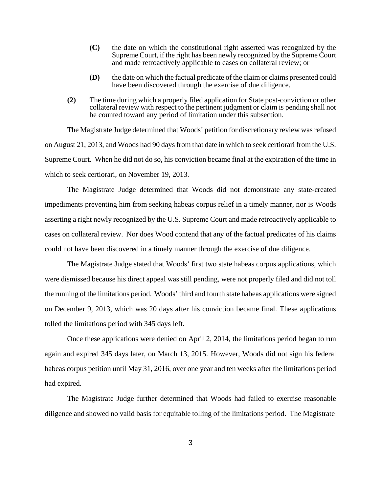- **(C)** the date on which the constitutional right asserted was recognized by the Supreme Court, if the right has been newly recognized by the Supreme Court and made retroactively applicable to cases on collateral review; or
- **(D)** the date on which the factual predicate of the claim or claims presented could have been discovered through the exercise of due diligence.
- **(2)** The time during which a properly filed application for State post-conviction or other collateral review with respect to the pertinent judgment or claim is pending shall not be counted toward any period of limitation under this subsection.

The Magistrate Judge determined that Woods' petition for discretionary review was refused on August 21, 2013, and Woods had 90 daysfrom that date in which to seek certiorari from the U.S. Supreme Court. When he did not do so, his conviction became final at the expiration of the time in which to seek certiorari, on November 19, 2013.

The Magistrate Judge determined that Woods did not demonstrate any state-created impediments preventing him from seeking habeas corpus relief in a timely manner, nor is Woods asserting a right newly recognized by the U.S. Supreme Court and made retroactively applicable to cases on collateral review. Nor does Wood contend that any of the factual predicates of his claims could not have been discovered in a timely manner through the exercise of due diligence.

The Magistrate Judge stated that Woods' first two state habeas corpus applications, which were dismissed because his direct appeal was still pending, were not properly filed and did not toll the running of the limitations period. Woods' third and fourth state habeas applications were signed on December 9, 2013, which was 20 days after his conviction became final. These applications tolled the limitations period with 345 days left.

Once these applications were denied on April 2, 2014, the limitations period began to run again and expired 345 days later, on March 13, 2015. However, Woods did not sign his federal habeas corpus petition until May 31, 2016, over one year and ten weeks after the limitations period had expired.

The Magistrate Judge further determined that Woods had failed to exercise reasonable diligence and showed no valid basis for equitable tolling of the limitations period. The Magistrate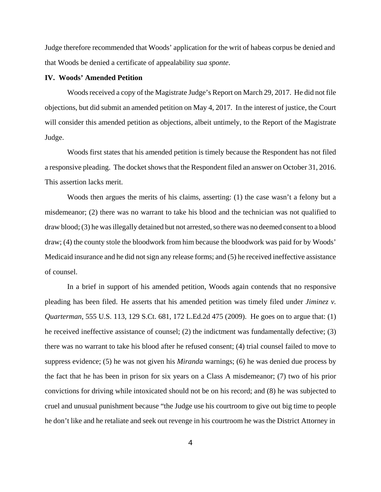Judge therefore recommended that Woods' application for the writ of habeas corpus be denied and that Woods be denied a certificate of appealability *sua sponte*.

### **IV. Woods' Amended Petition**

Woods received a copy of the Magistrate Judge's Report on March 29, 2017. He did not file objections, but did submit an amended petition on May 4, 2017. In the interest of justice, the Court will consider this amended petition as objections, albeit untimely, to the Report of the Magistrate Judge.

Woods first states that his amended petition is timely because the Respondent has not filed a responsive pleading. The docket shows that the Respondent filed an answer on October 31, 2016. This assertion lacks merit.

Woods then argues the merits of his claims, asserting: (1) the case wasn't a felony but a misdemeanor; (2) there was no warrant to take his blood and the technician was not qualified to draw blood; (3) he was illegally detained but not arrested, so there was no deemed consent to a blood draw; (4) the county stole the bloodwork from him because the bloodwork was paid for by Woods' Medicaid insurance and he did not sign any release forms; and (5) he received ineffective assistance of counsel.

In a brief in support of his amended petition, Woods again contends that no responsive pleading has been filed. He asserts that his amended petition was timely filed under *Jiminez v. Quarterman*, 555 U.S. 113, 129 S.Ct. 681, 172 L.Ed.2d 475 (2009). He goes on to argue that: (1) he received ineffective assistance of counsel; (2) the indictment was fundamentally defective; (3) there was no warrant to take his blood after he refused consent; (4) trial counsel failed to move to suppress evidence; (5) he was not given his *Miranda* warnings; (6) he was denied due process by the fact that he has been in prison for six years on a Class A misdemeanor; (7) two of his prior convictions for driving while intoxicated should not be on his record; and (8) he was subjected to cruel and unusual punishment because "the Judge use his courtroom to give out big time to people he don't like and he retaliate and seek out revenge in his courtroom he was the District Attorney in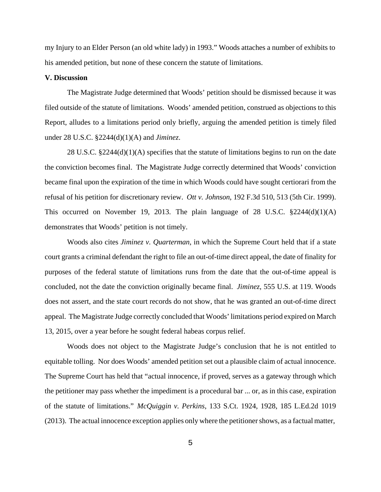my Injury to an Elder Person (an old white lady) in 1993." Woods attaches a number of exhibits to his amended petition, but none of these concern the statute of limitations.

### **V. Discussion**

The Magistrate Judge determined that Woods' petition should be dismissed because it was filed outside of the statute of limitations. Woods' amended petition, construed as objections to this Report, alludes to a limitations period only briefly, arguing the amended petition is timely filed under 28 U.S.C. §2244(d)(1)(A) and *Jiminez*.

28 U.S.C. §2244(d)(1)(A) specifies that the statute of limitations begins to run on the date the conviction becomes final. The Magistrate Judge correctly determined that Woods' conviction became final upon the expiration of the time in which Woods could have sought certiorari from the refusal of his petition for discretionary review. *Ott v. Johnson*, 192 F.3d 510, 513 (5th Cir. 1999). This occurred on November 19, 2013. The plain language of 28 U.S.C.  $\S 2244(d)(1)(A)$ demonstrates that Woods' petition is not timely.

Woods also cites *Jiminez v. Quarterman*, in which the Supreme Court held that if a state court grants a criminal defendant the right to file an out-of-time direct appeal, the date of finality for purposes of the federal statute of limitations runs from the date that the out-of-time appeal is concluded, not the date the conviction originally became final. *Jiminez*, 555 U.S. at 119. Woods does not assert, and the state court records do not show, that he was granted an out-of-time direct appeal. The Magistrate Judge correctly concluded that Woods' limitations period expired on March 13, 2015, over a year before he sought federal habeas corpus relief.

Woods does not object to the Magistrate Judge's conclusion that he is not entitled to equitable tolling. Nor does Woods' amended petition set out a plausible claim of actual innocence. The Supreme Court has held that "actual innocence, if proved, serves as a gateway through which the petitioner may pass whether the impediment is a procedural bar ... or, as in this case, expiration of the statute of limitations." *McQuiggin v. Perkins*, 133 S.Ct. 1924, 1928, 185 L.Ed.2d 1019 (2013). The actual innocence exception applies only where the petitionershows, as a factual matter,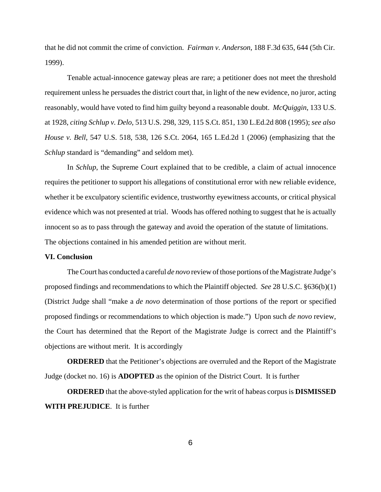that he did not commit the crime of conviction. *Fairman v. Anderson*, 188 F.3d 635, 644 (5th Cir. 1999).

Tenable actual-innocence gateway pleas are rare; a petitioner does not meet the threshold requirement unless he persuades the district court that, in light of the new evidence, no juror, acting reasonably, would have voted to find him guilty beyond a reasonable doubt. *McQuiggin*, 133 U.S. at 1928, *citing Schlup v. Delo*, 513 U.S. 298, 329, 115 S.Ct. 851, 130 L.Ed.2d 808 (1995); *see also House v. Bell*, 547 U.S. 518, 538, 126 S.Ct. 2064, 165 L.Ed.2d 1 (2006) (emphasizing that the *Schlup* standard is "demanding" and seldom met).

In *Schlup*, the Supreme Court explained that to be credible, a claim of actual innocence requires the petitioner to support his allegations of constitutional error with new reliable evidence, whether it be exculpatory scientific evidence, trustworthy eyewitness accounts, or critical physical evidence which was not presented at trial. Woods has offered nothing to suggest that he is actually innocent so as to pass through the gateway and avoid the operation of the statute of limitations. The objections contained in his amended petition are without merit.

# **VI. Conclusion**

TheCourt has conducted a careful *de novo* review ofthose portions ofthe Magistrate Judge's proposed findings and recommendations to which the Plaintiff objected. *See* 28 U.S.C. §636(b)(1) (District Judge shall "make a *de novo* determination of those portions of the report or specified proposed findings or recommendations to which objection is made.") Upon such *de novo* review, the Court has determined that the Report of the Magistrate Judge is correct and the Plaintiff's objections are without merit. It is accordingly

**ORDERED** that the Petitioner's objections are overruled and the Report of the Magistrate Judge (docket no. 16) is **ADOPTED** as the opinion of the District Court. It is further

**ORDERED** that the above-styled application for the writ of habeas corpus is **DISMISSED WITH PREJUDICE**. It is further